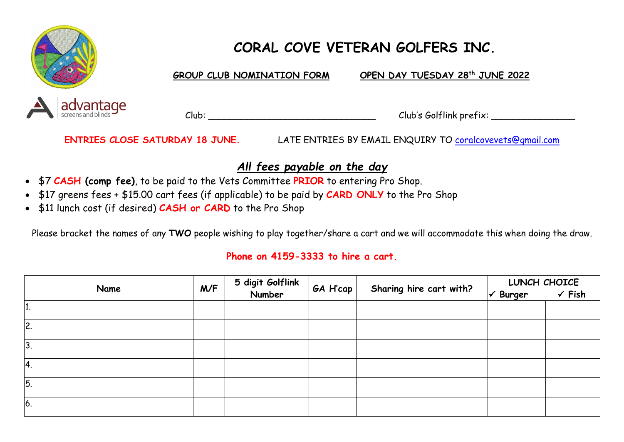

# **CORAL COVE VETERAN GOLFERS INC.**

**GROUP CLUB NOMINATION FORM** OPEN DAY TUESDAY 28<sup>th</sup> JUNE 2022

Club: Club: Club's Golflink prefix:

**ENTRIES CLOSE SATURDAY 18 JUNE.** LATE ENTRIES BY EMAIL ENQUIRY TO [coralcovevets@gmail.com](mailto:coralcovevets@gmail.com)

#### *All fees payable on the day*

- \$7 **CASH (comp fee)**, to be paid to the Vets Committee **PRIOR** to entering Pro Shop.
- \$17 greens fees + \$15.00 cart fees (if applicable) to be paid by **CARD ONLY** to the Pro Shop
- \$11 lunch cost (if desired) **CASH or CARD** to the Pro Shop

Please bracket the names of any **TWO** people wishing to play together/share a cart and we will accommodate this when doing the draw.

#### **Phone on 4159-3333 to hire a cart.**

| Name           | M/F | 5 digit Golflink<br>Number | $GA$ H'cap |                         | LUNCH CHOICE                |                   |
|----------------|-----|----------------------------|------------|-------------------------|-----------------------------|-------------------|
|                |     |                            |            | Sharing hire cart with? | $\sqrt{\phantom{a}}$ Burger | $\checkmark$ Fish |
| L.             |     |                            |            |                         |                             |                   |
| 2.             |     |                            |            |                         |                             |                   |
| 3              |     |                            |            |                         |                             |                   |
| 4.             |     |                            |            |                         |                             |                   |
| $\overline{5}$ |     |                            |            |                         |                             |                   |
| 6.             |     |                            |            |                         |                             |                   |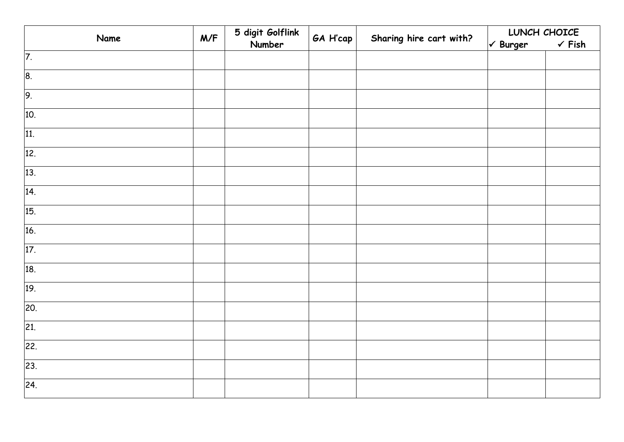| Name              | M/F | 5 digit Golflink | GA H'cap | Sharing hire cart with? | LUNCH CHOICE                       |                   |
|-------------------|-----|------------------|----------|-------------------------|------------------------------------|-------------------|
|                   |     | Number           |          |                         | $\sqrt{\phantom{a} \text{Burger}}$ | $\checkmark$ Fish |
| $\overline{7}$ .  |     |                  |          |                         |                                    |                   |
| 8.                |     |                  |          |                         |                                    |                   |
| 9.                |     |                  |          |                         |                                    |                   |
| 10.               |     |                  |          |                         |                                    |                   |
| 11.               |     |                  |          |                         |                                    |                   |
| 12.               |     |                  |          |                         |                                    |                   |
| 13.               |     |                  |          |                         |                                    |                   |
| 14.               |     |                  |          |                         |                                    |                   |
| 15.               |     |                  |          |                         |                                    |                   |
| 16.               |     |                  |          |                         |                                    |                   |
| 17.               |     |                  |          |                         |                                    |                   |
| 18.               |     |                  |          |                         |                                    |                   |
| 19.               |     |                  |          |                         |                                    |                   |
| 20.               |     |                  |          |                         |                                    |                   |
| 21.               |     |                  |          |                         |                                    |                   |
| 22.               |     |                  |          |                         |                                    |                   |
| 23.               |     |                  |          |                         |                                    |                   |
| $\overline{24}$ . |     |                  |          |                         |                                    |                   |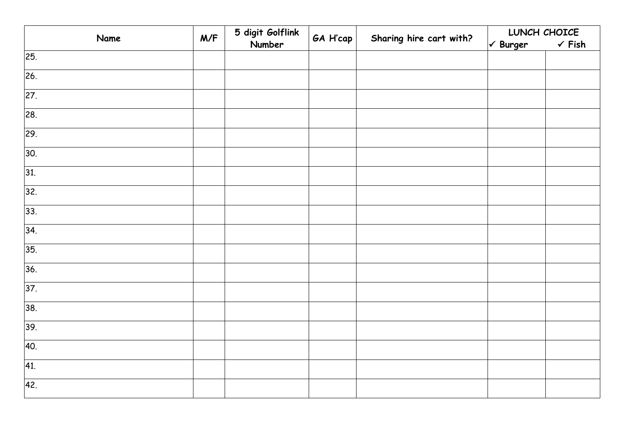| Name              | M/F | 5 digit Golflink<br>Number | GA H'cap | Sharing hire cart with? | LUNCH CHOICE                |                   |
|-------------------|-----|----------------------------|----------|-------------------------|-----------------------------|-------------------|
|                   |     |                            |          |                         | $\sqrt{\phantom{a}}$ Burger | $\checkmark$ Fish |
| 25.               |     |                            |          |                         |                             |                   |
| 26.               |     |                            |          |                         |                             |                   |
| $\overline{27}$ . |     |                            |          |                         |                             |                   |
| 28.               |     |                            |          |                         |                             |                   |
| 29.               |     |                            |          |                         |                             |                   |
| 30.               |     |                            |          |                         |                             |                   |
| 31.               |     |                            |          |                         |                             |                   |
| 32.               |     |                            |          |                         |                             |                   |
| 33.               |     |                            |          |                         |                             |                   |
| 34.               |     |                            |          |                         |                             |                   |
| 35.               |     |                            |          |                         |                             |                   |
| 36.               |     |                            |          |                         |                             |                   |
| 37.               |     |                            |          |                         |                             |                   |
| 38.               |     |                            |          |                         |                             |                   |
| 39.               |     |                            |          |                         |                             |                   |
| 40.               |     |                            |          |                         |                             |                   |
| 41.               |     |                            |          |                         |                             |                   |
| 42.               |     |                            |          |                         |                             |                   |